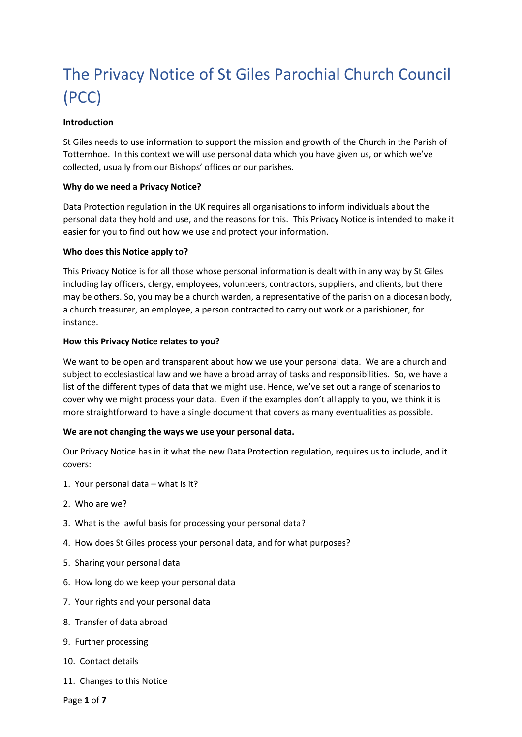# The Privacy Notice of St Giles Parochial Church Council (PCC)

#### **Introduction**

St Giles needs to use information to support the mission and growth of the Church in the Parish of Totternhoe. In this context we will use personal data which you have given us, or which we've collected, usually from our Bishops' offices or our parishes.

#### **Why do we need a Privacy Notice?**

Data Protection regulation in the UK requires all organisations to inform individuals about the personal data they hold and use, and the reasons for this. This Privacy Notice is intended to make it easier for you to find out how we use and protect your information.

#### **Who does this Notice apply to?**

This Privacy Notice is for all those whose personal information is dealt with in any way by St Giles including lay officers, clergy, employees, volunteers, contractors, suppliers, and clients, but there may be others. So, you may be a church warden, a representative of the parish on a diocesan body, a church treasurer, an employee, a person contracted to carry out work or a parishioner, for instance.

#### **How this Privacy Notice relates to you?**

We want to be open and transparent about how we use your personal data. We are a church and subject to ecclesiastical law and we have a broad array of tasks and responsibilities. So, we have a list of the different types of data that we might use. Hence, we've set out a range of scenarios to cover why we might process your data. Even if the examples don't all apply to you, we think it is more straightforward to have a single document that covers as many eventualities as possible.

#### **We are not changing the ways we use your personal data.**

Our Privacy Notice has in it what the new Data Protection regulation, requires us to include, and it covers:

- 1. Your personal data what is it?
- 2. Who are we?
- 3. What is the lawful basis for processing your personal data?
- 4. How does St Giles process your personal data, and for what purposes?
- 5. Sharing your personal data
- 6. How long do we keep your personal data
- 7. Your rights and your personal data
- 8. Transfer of data abroad
- 9. Further processing
- 10. Contact details
- 11. Changes to this Notice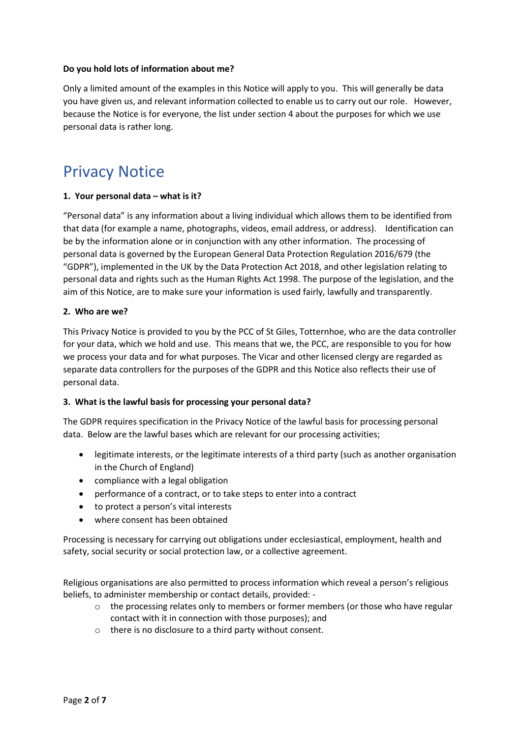#### **Do you hold lots of information about me?**

Only a limited amount of the examples in this Notice will apply to you. This will generally be data you have given us, and relevant information collected to enable us to carry out our role. However, because the Notice is for everyone, the list under section 4 about the purposes for which we use personal data is rather long.

# Privacy Notice

#### **1. Your personal data – what is it?**

"Personal data" is any information about a living individual which allows them to be identified from that data (for example a name, photographs, videos, email address, or address). Identification can be by the information alone or in conjunction with any other information. The processing of personal data is governed by the European General Data Protection Regulation 2016/679 (the "GDPR"), implemented in the UK by the Data Protection Act 2018, and other legislation relating to personal data and rights such as the Human Rights Act 1998. The purpose of the legislation, and the aim of this Notice, are to make sure your information is used fairly, lawfully and transparently.

#### **2. Who are we?**

This Privacy Notice is provided to you by the PCC of St Giles, Totternhoe, who are the data controller for your data, which we hold and use. This means that we, the PCC, are responsible to you for how we process your data and for what purposes. The Vicar and other licensed clergy are regarded as separate data controllers for the purposes of the GDPR and this Notice also reflects their use of personal data.

#### **3. What is the lawful basis for processing your personal data?**

The GDPR requires specification in the Privacy Notice of the lawful basis for processing personal data. Below are the lawful bases which are relevant for our processing activities;

- legitimate interests, or the legitimate interests of a third party (such as another organisation in the Church of England)
- compliance with a legal obligation
- performance of a contract, or to take steps to enter into a contract
- to protect a person's vital interests
- where consent has been obtained

Processing is necessary for carrying out obligations under ecclesiastical, employment, health and safety, social security or social protection law, or a collective agreement.

Religious organisations are also permitted to process information which reveal a person's religious beliefs, to administer membership or contact details, provided: -

- o the processing relates only to members or former members (or those who have regular contact with it in connection with those purposes); and
- o there is no disclosure to a third party without consent.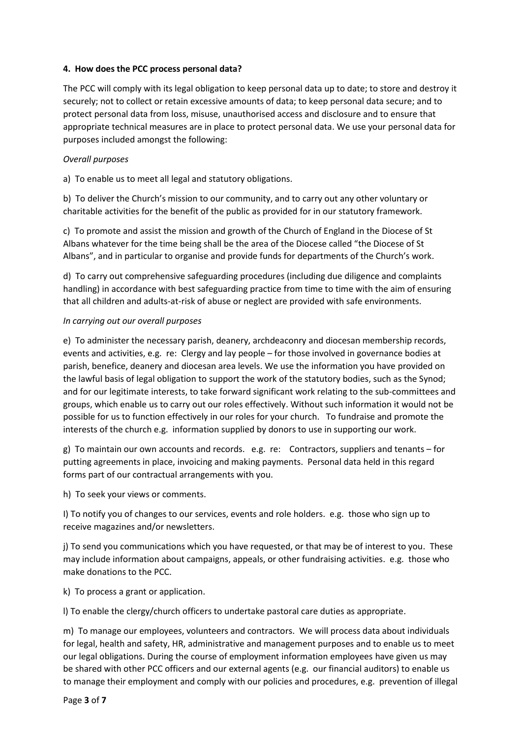#### **4. How does the PCC process personal data?**

The PCC will comply with its legal obligation to keep personal data up to date; to store and destroy it securely; not to collect or retain excessive amounts of data; to keep personal data secure; and to protect personal data from loss, misuse, unauthorised access and disclosure and to ensure that appropriate technical measures are in place to protect personal data. We use your personal data for purposes included amongst the following:

#### *Overall purposes*

a) To enable us to meet all legal and statutory obligations.

b) To deliver the Church's mission to our community, and to carry out any other voluntary or charitable activities for the benefit of the public as provided for in our statutory framework.

c) To promote and assist the mission and growth of the Church of England in the Diocese of St Albans whatever for the time being shall be the area of the Diocese called "the Diocese of St Albans", and in particular to organise and provide funds for departments of the Church's work.

d) To carry out comprehensive safeguarding procedures (including due diligence and complaints handling) in accordance with best safeguarding practice from time to time with the aim of ensuring that all children and adults-at-risk of abuse or neglect are provided with safe environments.

#### *In carrying out our overall purposes*

e) To administer the necessary parish, deanery, archdeaconry and diocesan membership records, events and activities, e.g. re: Clergy and lay people – for those involved in governance bodies at parish, benefice, deanery and diocesan area levels. We use the information you have provided on the lawful basis of legal obligation to support the work of the statutory bodies, such as the Synod; and for our legitimate interests, to take forward significant work relating to the sub-committees and groups, which enable us to carry out our roles effectively. Without such information it would not be possible for us to function effectively in our roles for your church. To fundraise and promote the interests of the church e.g. information supplied by donors to use in supporting our work.

g) To maintain our own accounts and records. e.g. re: Contractors, suppliers and tenants – for putting agreements in place, invoicing and making payments. Personal data held in this regard forms part of our contractual arrangements with you.

h) To seek your views or comments.

I) To notify you of changes to our services, events and role holders. e.g. those who sign up to receive magazines and/or newsletters.

j) To send you communications which you have requested, or that may be of interest to you. These may include information about campaigns, appeals, or other fundraising activities. e.g. those who make donations to the PCC.

k) To process a grant or application.

l) To enable the clergy/church officers to undertake pastoral care duties as appropriate.

m) To manage our employees, volunteers and contractors. We will process data about individuals for legal, health and safety, HR, administrative and management purposes and to enable us to meet our legal obligations. During the course of employment information employees have given us may be shared with other PCC officers and our external agents (e.g. our financial auditors) to enable us to manage their employment and comply with our policies and procedures, e.g. prevention of illegal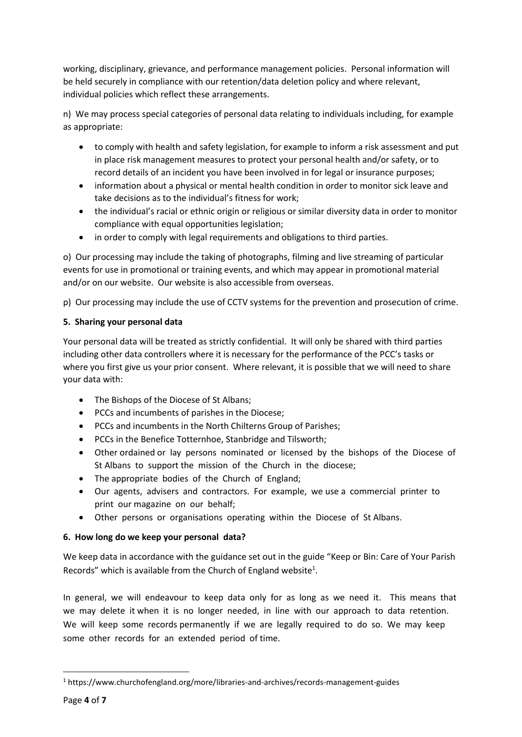working, disciplinary, grievance, and performance management policies. Personal information will be held securely in compliance with our retention/data deletion policy and where relevant, individual policies which reflect these arrangements.

n) We may process special categories of personal data relating to individuals including, for example as appropriate:

- to comply with health and safety legislation, for example to inform a risk assessment and put in place risk management measures to protect your personal health and/or safety, or to record details of an incident you have been involved in for legal or insurance purposes;
- information about a physical or mental health condition in order to monitor sick leave and take decisions as to the individual's fitness for work;
- the individual's racial or ethnic origin or religious or similar diversity data in order to monitor compliance with equal opportunities legislation;
- in order to comply with legal requirements and obligations to third parties.

o) Our processing may include the taking of photographs, filming and live streaming of particular events for use in promotional or training events, and which may appear in promotional material and/or on our website. Our website is also accessible from overseas.

p) Our processing may include the use of CCTV systems for the prevention and prosecution of crime.

# **5. Sharing your personal data**

Your personal data will be treated as strictly confidential. It will only be shared with third parties including other data controllers where it is necessary for the performance of the PCC's tasks or where you first give us your prior consent. Where relevant, it is possible that we will need to share your data with:

- The Bishops of the Diocese of St Albans;
- PCCs and incumbents of parishes in the Diocese;
- PCCs and incumbents in the North Chilterns Group of Parishes;
- PCCs in the Benefice Totternhoe, Stanbridge and Tilsworth;
- Other ordained or lay persons nominated or licensed by the bishops of the Diocese of St Albans to support the mission of the Church in the diocese;
- The appropriate bodies of the Church of England;
- Our agents, advisers and contractors. For example, we use a commercial printer to print our magazine on our behalf;
- Other persons or organisations operating within the Diocese of St Albans.

# **6. How long do we keep your personal data?**

We keep data in accordance with the guidance set out in the guide "Keep or Bin: Care of Your Parish Records" which is available from the Church of England website<sup>1</sup>.

In general, we will endeavour to keep data only for as long as we need it. This means that we may delete it when it is no longer needed, in line with our approach to data retention. We will keep some records permanently if we are legally required to do so. We may keep some other records for an extended period of time.

**.** 

<sup>1</sup> https://www.churchofengland.org/more/libraries-and-archives/records-management-guides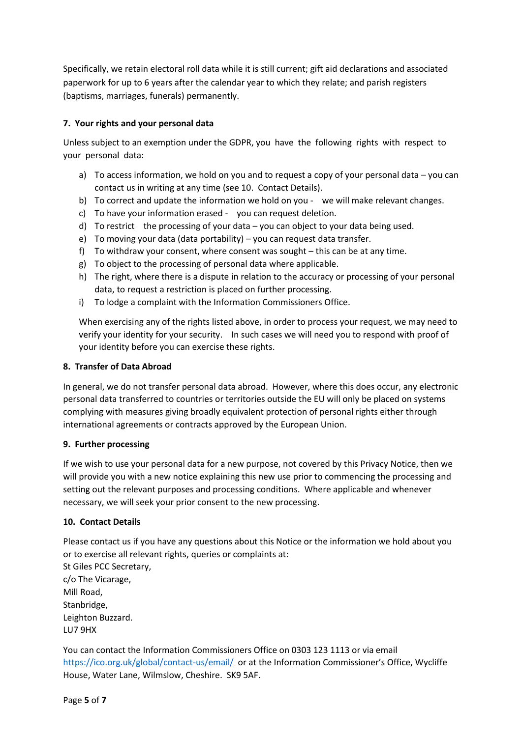Specifically, we retain electoral roll data while it is still current; gift aid declarations and associated paperwork for up to 6 years after the calendar year to which they relate; and parish registers (baptisms, marriages, funerals) permanently.

# **7. Your rights and your personal data**

Unless subject to an exemption under the GDPR, you have the following rights with respect to your personal data:

- a) To access information, we hold on you and to request a copy of your personal data you can contact us in writing at any time (see 10. Contact Details).
- b) To correct and update the information we hold on you we will make relevant changes.
- c) To have your information erased you can request deletion.
- d) To restrict the processing of your data you can object to your data being used.
- e) To moving your data (data portability) you can request data transfer.
- f) To withdraw your consent, where consent was sought this can be at any time.
- g) To object to the processing of personal data where applicable.
- h) The right, where there is a dispute in relation to the accuracy or processing of your personal data, to request a restriction is placed on further processing.
- i) To lodge a complaint with the Information Commissioners Office.

When exercising any of the rights listed above, in order to process your request, we may need to verify your identity for your security. In such cases we will need you to respond with proof of your identity before you can exercise these rights.

# **8. Transfer of Data Abroad**

In general, we do not transfer personal data abroad. However, where this does occur, any electronic personal data transferred to countries or territories outside the EU will only be placed on systems complying with measures giving broadly equivalent protection of personal rights either through international agreements or contracts approved by the European Union.

# **9. Further processing**

If we wish to use your personal data for a new purpose, not covered by this Privacy Notice, then we will provide you with a new notice explaining this new use prior to commencing the processing and setting out the relevant purposes and processing conditions. Where applicable and whenever necessary, we will seek your prior consent to the new processing.

# **10. Contact Details**

Please contact us if you have any questions about this Notice or the information we hold about you or to exercise all relevant rights, queries or complaints at:

St Giles PCC Secretary, c/o The Vicarage, Mill Road, Stanbridge, Leighton Buzzard. LU7 9HX

You can contact the Information Commissioners Office on 0303 123 1113 or via email <https://ico.org.uk/global/contact-us/email/> or at the Information Commissioner's Office, Wycliffe House, Water Lane, Wilmslow, Cheshire. SK9 5AF.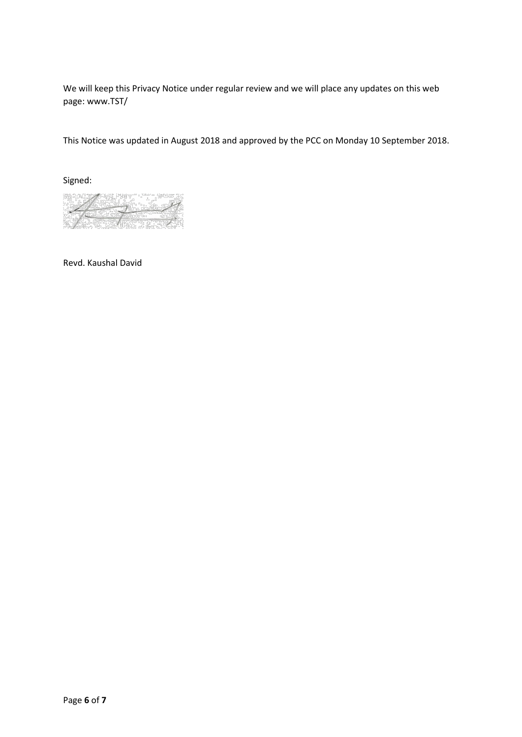We will keep this Privacy Notice under regular review and we will place any updates on this web page: www.TST/

This Notice was updated in August 2018 and approved by the PCC on Monday 10 September 2018.

Signed:

 $\overline{A}$ 

Revd. Kaushal David